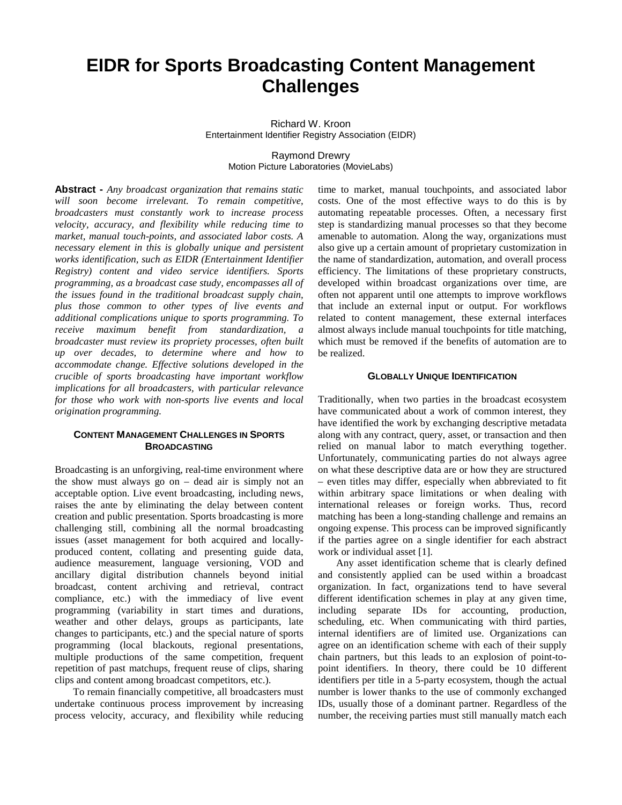# **EIDR for Sports Broadcasting Content Management Challenges**

Richard W. Kroon Entertainment Identifier Registry Association (EIDR)

> Raymond Drewry Motion Picture Laboratories (MovieLabs)

**Abstract -** *Any broadcast organization that remains static will soon become irrelevant. To remain competitive, broadcasters must constantly work to increase process velocity, accuracy, and flexibility while reducing time to market, manual touch-points, and associated labor costs. A necessary element in this is globally unique and persistent works identification, such as EIDR (Entertainment Identifier Registry) content and video service identifiers. Sports programming, as a broadcast case study, encompasses all of the issues found in the traditional broadcast supply chain, plus those common to other types of live events and additional complications unique to sports programming. To receive maximum benefit from standardization, a broadcaster must review its propriety processes, often built up over decades, to determine where and how to accommodate change. Effective solutions developed in the crucible of sports broadcasting have important workflow implications for all broadcasters, with particular relevance for those who work with non-sports live events and local origination programming.*

## **CONTENT MANAGEMENT CHALLENGES IN SPORTS BROADCASTING**

Broadcasting is an unforgiving, real-time environment where the show must always go on – dead air is simply not an acceptable option. Live event broadcasting, including news, raises the ante by eliminating the delay between content creation and public presentation. Sports broadcasting is more challenging still, combining all the normal broadcasting issues (asset management for both acquired and locallyproduced content, collating and presenting guide data, audience measurement, language versioning, VOD and ancillary digital distribution channels beyond initial broadcast, content archiving and retrieval, contract compliance, etc.) with the immediacy of live event programming (variability in start times and durations, weather and other delays, groups as participants, late changes to participants, etc.) and the special nature of sports programming (local blackouts, regional presentations, multiple productions of the same competition, frequent repetition of past matchups, frequent reuse of clips, sharing clips and content among broadcast competitors, etc.).

To remain financially competitive, all broadcasters must undertake continuous process improvement by increasing process velocity, accuracy, and flexibility while reducing

time to market, manual touchpoints, and associated labor costs. One of the most effective ways to do this is by automating repeatable processes. Often, a necessary first step is standardizing manual processes so that they become amenable to automation. Along the way, organizations must also give up a certain amount of proprietary customization in the name of standardization, automation, and overall process efficiency. The limitations of these proprietary constructs, developed within broadcast organizations over time, are often not apparent until one attempts to improve workflows that include an external input or output. For workflows related to content management, these external interfaces almost always include manual touchpoints for title matching, which must be removed if the benefits of automation are to be realized.

## **GLOBALLY UNIQUE IDENTIFICATION**

Traditionally, when two parties in the broadcast ecosystem have communicated about a work of common interest, they have identified the work by exchanging descriptive metadata along with any contract, query, asset, or transaction and then relied on manual labor to match everything together. Unfortunately, communicating parties do not always agree on what these descriptive data are or how they are structured – even titles may differ, especially when abbreviated to fit within arbitrary space limitations or when dealing with international releases or foreign works. Thus, record matching has been a long-standing challenge and remains an ongoing expense. This process can be improved significantly if the parties agree on a single identifier for each abstract work or individual asset [1].

Any asset identification scheme that is clearly defined and consistently applied can be used within a broadcast organization. In fact, organizations tend to have several different identification schemes in play at any given time, including separate IDs for accounting, production, scheduling, etc. When communicating with third parties, internal identifiers are of limited use. Organizations can agree on an identification scheme with each of their supply chain partners, but this leads to an explosion of point-topoint identifiers. In theory, there could be 10 different identifiers per title in a 5-party ecosystem, though the actual number is lower thanks to the use of commonly exchanged IDs, usually those of a dominant partner. Regardless of the number, the receiving parties must still manually match each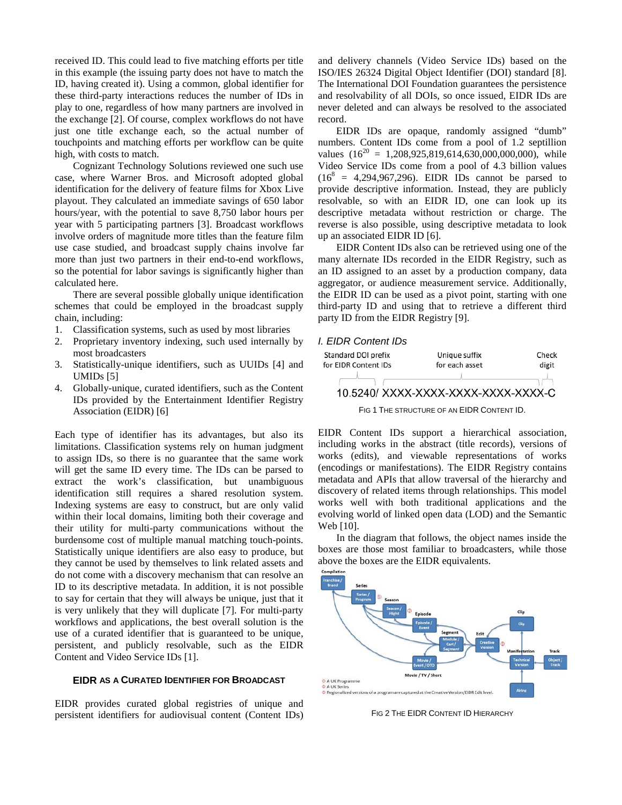received ID. This could lead to five matching efforts per title in this example (the issuing party does not have to match the ID, having created it). Using a common, global identifier for these third-party interactions reduces the number of IDs in play to one, regardless of how many partners are involved in the exchange [2]. Of course, complex workflows do not have just one title exchange each, so the actual number of touchpoints and matching efforts per workflow can be quite high, with costs to match.

Cognizant Technology Solutions reviewed one such use case, where Warner Bros. and Microsoft adopted global identification for the delivery of feature films for Xbox Live playout. They calculated an immediate savings of 650 labor hours/year, with the potential to save 8,750 labor hours per year with 5 participating partners [3]. Broadcast workflows involve orders of magnitude more titles than the feature film use case studied, and broadcast supply chains involve far more than just two partners in their end-to-end workflows, so the potential for labor savings is significantly higher than calculated here.

There are several possible globally unique identification schemes that could be employed in the broadcast supply chain, including:

- 1. Classification systems, such as used by most libraries
- 2. Proprietary inventory indexing, such used internally by most broadcasters
- 3. Statistically-unique identifiers, such as UUIDs [4] and UMIDs [5]
- 4. Globally-unique, curated identifiers, such as the Content IDs provided by the Entertainment Identifier Registry Association (EIDR) [6]

Each type of identifier has its advantages, but also its limitations. Classification systems rely on human judgment to assign IDs, so there is no guarantee that the same work will get the same ID every time. The IDs can be parsed to extract the work's classification, but unambiguous identification still requires a shared resolution system. Indexing systems are easy to construct, but are only valid within their local domains, limiting both their coverage and their utility for multi-party communications without the burdensome cost of multiple manual matching touch-points. Statistically unique identifiers are also easy to produce, but they cannot be used by themselves to link related assets and do not come with a discovery mechanism that can resolve an ID to its descriptive metadata. In addition, it is not possible to say for certain that they will always be unique, just that it is very unlikely that they will duplicate [7]. For multi-party workflows and applications, the best overall solution is the use of a curated identifier that is guaranteed to be unique, persistent, and publicly resolvable, such as the EIDR Content and Video Service IDs [1].

### **EIDR AS A CURATED IDENTIFIER FOR BROADCAST**

EIDR provides curated global registries of unique and persistent identifiers for audiovisual content (Content IDs) and delivery channels (Video Service IDs) based on the ISO/IES 26324 Digital Object Identifier (DOI) standard [8]. The International DOI Foundation guarantees the persistence and resolvability of all DOIs, so once issued, EIDR IDs are never deleted and can always be resolved to the associated record.

EIDR IDs are opaque, randomly assigned "dumb" numbers. Content IDs come from a pool of 1.2 septillion values  $(16^{20} = 1,208,925,819,614,630,000,000,000)$ , while Video Service IDs come from a pool of 4.3 billion values  $(16^8 = 4,294,967,296)$ . EIDR IDs cannot be parsed to provide descriptive information. Instead, they are publicly resolvable, so with an EIDR ID, one can look up its descriptive metadata without restriction or charge. The reverse is also possible, using descriptive metadata to look up an associated EIDR ID [6].

EIDR Content IDs also can be retrieved using one of the many alternate IDs recorded in the EIDR Registry, such as an ID assigned to an asset by a production company, data aggregator, or audience measurement service. Additionally, the EIDR ID can be used as a pivot point, starting with one third-party ID and using that to retrieve a different third party ID from the EIDR Registry [9].

## *I. EIDR Content IDs*



EIDR Content IDs support a hierarchical association, including works in the abstract (title records), versions of works (edits), and viewable representations of works (encodings or manifestations). The EIDR Registry contains metadata and APIs that allow traversal of the hierarchy and discovery of related items through relationships. This model works well with both traditional applications and the evolving world of linked open data (LOD) and the Semantic Web [10].

In the diagram that follows, the object names inside the boxes are those most familiar to broadcasters, while those above the boxes are the EIDR equivalents.



FIG 2 THE EIDR CONTENT ID HIERARCHY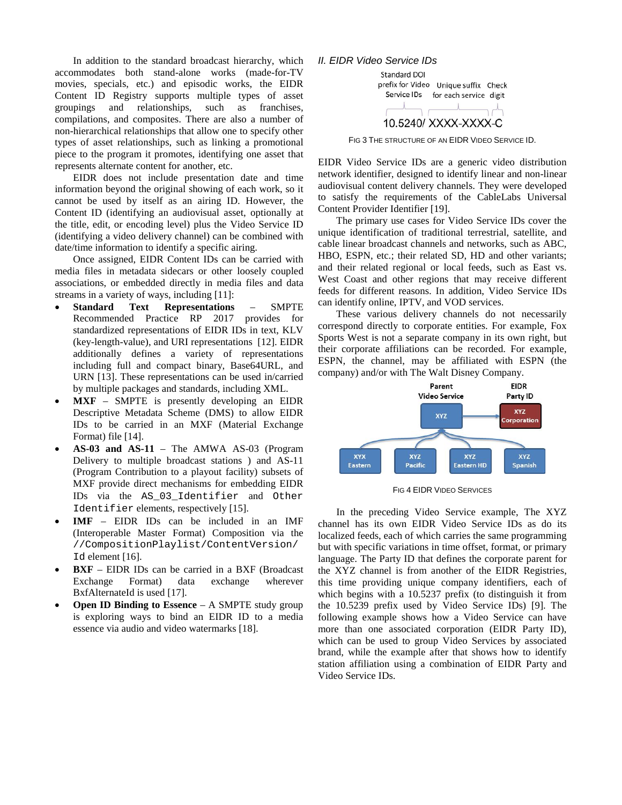In addition to the standard broadcast hierarchy, which accommodates both stand-alone works (made-for-TV movies, specials, etc.) and episodic works, the EIDR Content ID Registry supports multiple types of asset groupings and relationships, such as franchises, compilations, and composites. There are also a number of non-hierarchical relationships that allow one to specify other types of asset relationships, such as linking a promotional piece to the program it promotes, identifying one asset that represents alternate content for another, etc.

EIDR does not include presentation date and time information beyond the original showing of each work, so it cannot be used by itself as an airing ID. However, the Content ID (identifying an audiovisual asset, optionally at the title, edit, or encoding level) plus the Video Service ID (identifying a video delivery channel) can be combined with date/time information to identify a specific airing.

Once assigned, EIDR Content IDs can be carried with media files in metadata sidecars or other loosely coupled associations, or embedded directly in media files and data streams in a variety of ways, including [11]:

- **Standard Text Representations** SMPTE Recommended Practice RP 2017 provides for standardized representations of EIDR IDs in text, KLV (key-length-value), and URI representations [12]. EIDR additionally defines a variety of representations including full and compact binary, Base64URL, and URN [13]. These representations can be used in/carried by multiple packages and standards, including XML.
- **MXF** SMPTE is presently developing an EIDR Descriptive Metadata Scheme (DMS) to allow EIDR IDs to be carried in an MXF (Material Exchange Format) file [14].
- **AS-03 and AS-11** The AMWA AS-03 (Program Delivery to multiple broadcast stations ) and AS-11 (Program Contribution to a playout facility) subsets of MXF provide direct mechanisms for embedding EIDR IDs via the AS\_03\_Identifier and Other Identifier elements, respectively [15].
- **IMF** EIDR IDs can be included in an IMF (Interoperable Master Format) Composition via the //CompositionPlaylist/ContentVersion/ Id element [16].
- **BXF** EIDR IDs can be carried in a BXF (Broadcast) Exchange Format) data exchange wherever BxfAlternateId is used [17].
- **Open ID Binding to Essence** A SMPTE study group is exploring ways to bind an EIDR ID to a media essence via audio and video watermarks [18].

## *II. EIDR Video Service IDs*



FIG 3 THE STRUCTURE OF AN EIDR VIDEO SERVICE ID.

EIDR Video Service IDs are a generic video distribution network identifier, designed to identify linear and non-linear audiovisual content delivery channels. They were developed to satisfy the requirements of the CableLabs Universal Content Provider Identifier [19].

The primary use cases for Video Service IDs cover the unique identification of traditional terrestrial, satellite, and cable linear broadcast channels and networks, such as ABC, HBO, ESPN, etc.; their related SD, HD and other variants; and their related regional or local feeds, such as East vs. West Coast and other regions that may receive different feeds for different reasons. In addition, Video Service IDs can identify online, IPTV, and VOD services.

These various delivery channels do not necessarily correspond directly to corporate entities. For example, Fox Sports West is not a separate company in its own right, but their corporate affiliations can be recorded. For example, ESPN, the channel, may be affiliated with ESPN (the company) and/or with The Walt Disney Company.



FIG 4 EIDR VIDEO SERVICES

In the preceding Video Service example, The XYZ channel has its own EIDR Video Service IDs as do its localized feeds, each of which carries the same programming but with specific variations in time offset, format, or primary language. The Party ID that defines the corporate parent for the XYZ channel is from another of the EIDR Registries, this time providing unique company identifiers, each of which begins with a 10.5237 prefix (to distinguish it from the 10.5239 prefix used by Video Service IDs) [9]. The following example shows how a Video Service can have more than one associated corporation (EIDR Party ID), which can be used to group Video Services by associated brand, while the example after that shows how to identify station affiliation using a combination of EIDR Party and Video Service IDs.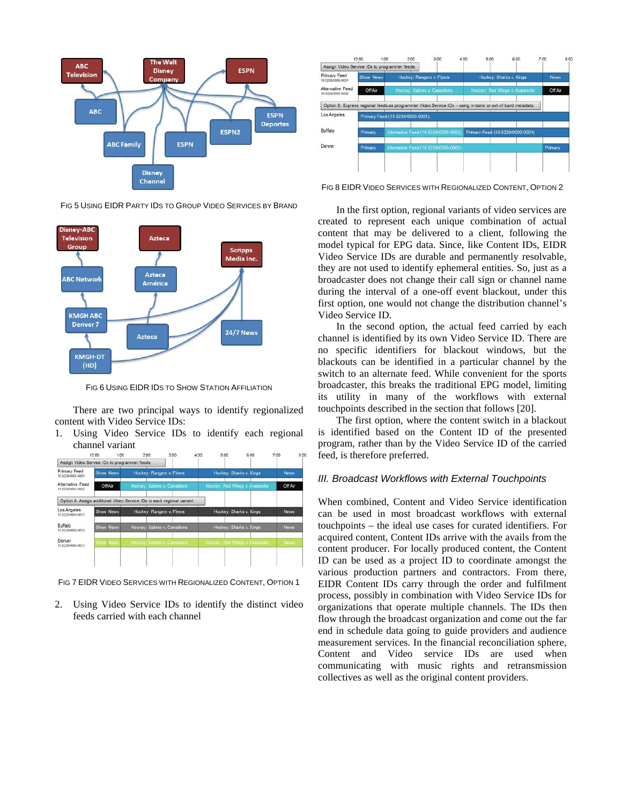

FIG 5 USING EIDR PARTY IDS TO GROUP VIDEO SERVICES BY BRAND



FIG 6 USING EIDR IDS TO SHOW STATION AFFILIATION

There are two principal ways to identify regionalized content with Video Service IDs:

1. Using Video Service IDs to identify each regional channel variant



FIG 7 EIDR VIDEO SERVICES WITH REGIONALIZED CONTENT, OPTION 1

2. Using Video Service IDs to identify the distinct video feeds carried with each channel



FIG 8 EIDR VIDEO SERVICES WITH REGIONALIZED CONTENT, OPTION 2

In the first option, regional variants of video services are created to represent each unique combination of actual content that may be delivered to a client, following the model typical for EPG data. Since, like Content IDs, EIDR Video Service IDs are durable and permanently resolvable, they are not used to identify ephemeral entities. So, just as a broadcaster does not change their call sign or channel name during the interval of a one-off event blackout, under this first option, one would not change the distribution channel's Video Service ID.

In the second option, the actual feed carried by each channel is identified by its own Video Service ID. There are no specific identifiers for blackout windows, but the blackouts can be identified in a particular channel by the switch to an alternate feed. While convenient for the sports broadcaster, this breaks the traditional EPG model, limiting its utility in many of the workflows with external touchpoints described in the section that follows [20].

The first option, where the content switch in a blackout is identified based on the Content ID of the presented program, rather than by the Video Service ID of the carried feed, is therefore preferred.

## *III. Broadcast Workflows with External Touchpoints*

When combined, Content and Video Service identification can be used in most broadcast workflows with external touchpoints – the ideal use cases for curated identifiers. For acquired content, Content IDs arrive with the avails from the content producer. For locally produced content, the Content ID can be used as a project ID to coordinate amongst the various production partners and contractors. From there, EIDR Content IDs carry through the order and fulfilment process, possibly in combination with Video Service IDs for organizations that operate multiple channels. The IDs then flow through the broadcast organization and come out the far end in schedule data going to guide providers and audience measurement services. In the financial reconciliation sphere, Content and Video service IDs are used when communicating with music rights and retransmission collectives as well as the original content providers.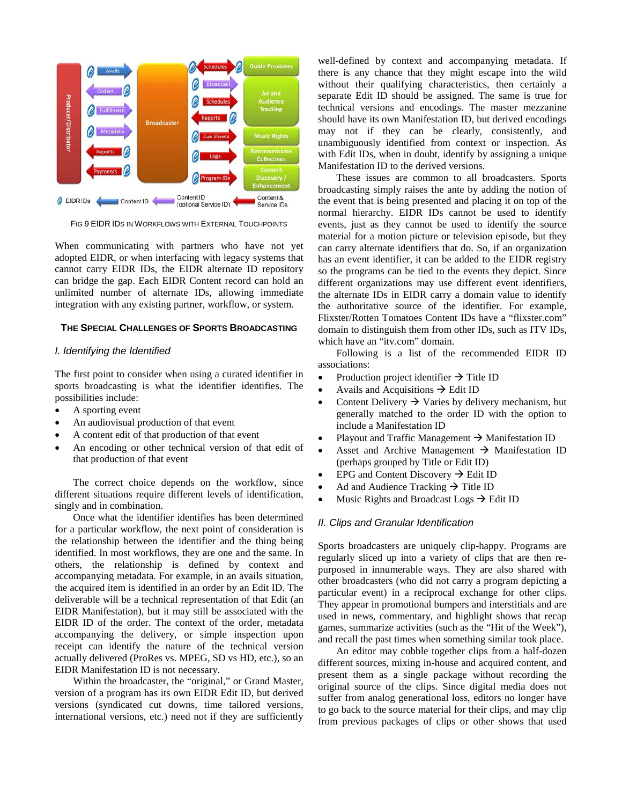

FIG 9 EIDR IDS IN WORKFLOWS WITH EXTERNAL TOUCHPOINTS

When communicating with partners who have not yet adopted EIDR, or when interfacing with legacy systems that cannot carry EIDR IDs, the EIDR alternate ID repository can bridge the gap. Each EIDR Content record can hold an unlimited number of alternate IDs, allowing immediate integration with any existing partner, workflow, or system.

#### **THE SPECIAL CHALLENGES OF SPORTS BROADCASTING**

#### *I. Identifying the Identified*

The first point to consider when using a curated identifier in sports broadcasting is what the identifier identifies. The possibilities include:

- A sporting event
- An audiovisual production of that event
- A content edit of that production of that event
- An encoding or other technical version of that edit of that production of that event

The correct choice depends on the workflow, since different situations require different levels of identification, singly and in combination.

Once what the identifier identifies has been determined for a particular workflow, the next point of consideration is the relationship between the identifier and the thing being identified. In most workflows, they are one and the same. In others, the relationship is defined by context and accompanying metadata. For example, in an avails situation, the acquired item is identified in an order by an Edit ID. The deliverable will be a technical representation of that Edit (an EIDR Manifestation), but it may still be associated with the EIDR ID of the order. The context of the order, metadata accompanying the delivery, or simple inspection upon receipt can identify the nature of the technical version actually delivered (ProRes vs. MPEG, SD vs HD, etc.), so an EIDR Manifestation ID is not necessary.

Within the broadcaster, the "original," or Grand Master, version of a program has its own EIDR Edit ID, but derived versions (syndicated cut downs, time tailored versions, international versions, etc.) need not if they are sufficiently

well-defined by context and accompanying metadata. If there is any chance that they might escape into the wild without their qualifying characteristics, then certainly a separate Edit ID should be assigned. The same is true for technical versions and encodings. The master mezzanine should have its own Manifestation ID, but derived encodings may not if they can be clearly, consistently, and unambiguously identified from context or inspection. As with Edit IDs, when in doubt, identify by assigning a unique Manifestation ID to the derived versions.

These issues are common to all broadcasters. Sports broadcasting simply raises the ante by adding the notion of the event that is being presented and placing it on top of the normal hierarchy. EIDR IDs cannot be used to identify events, just as they cannot be used to identify the source material for a motion picture or television episode, but they can carry alternate identifiers that do. So, if an organization has an event identifier, it can be added to the EIDR registry so the programs can be tied to the events they depict. Since different organizations may use different event identifiers, the alternate IDs in EIDR carry a domain value to identify the authoritative source of the identifier. For example, Flixster/Rotten Tomatoes Content IDs have a "flixster.com" domain to distinguish them from other IDs, such as ITV IDs, which have an "itv.com" domain.

Following is a list of the recommended EIDR ID associations:

- Production project identifier  $\rightarrow$  Title ID
- Avails and Acquisitions  $\rightarrow$  Edit ID
- Content Delivery  $\rightarrow$  Varies by delivery mechanism, but generally matched to the order ID with the option to include a Manifestation ID
- Playout and Traffic Management  $\rightarrow$  Manifestation ID
- Asset and Archive Management  $\rightarrow$  Manifestation ID (perhaps grouped by Title or Edit ID)
- EPG and Content Discovery  $\rightarrow$  Edit ID
- Ad and Audience Tracking  $\rightarrow$  Title ID
- Music Rights and Broadcast Logs  $\rightarrow$  Edit ID

#### *II. Clips and Granular Identification*

Sports broadcasters are uniquely clip-happy. Programs are regularly sliced up into a variety of clips that are then repurposed in innumerable ways. They are also shared with other broadcasters (who did not carry a program depicting a particular event) in a reciprocal exchange for other clips. They appear in promotional bumpers and interstitials and are used in news, commentary, and highlight shows that recap games, summarize activities (such as the "Hit of the Week"), and recall the past times when something similar took place.

An editor may cobble together clips from a half-dozen different sources, mixing in-house and acquired content, and present them as a single package without recording the original source of the clips. Since digital media does not suffer from analog generational loss, editors no longer have to go back to the source material for their clips, and may clip from previous packages of clips or other shows that used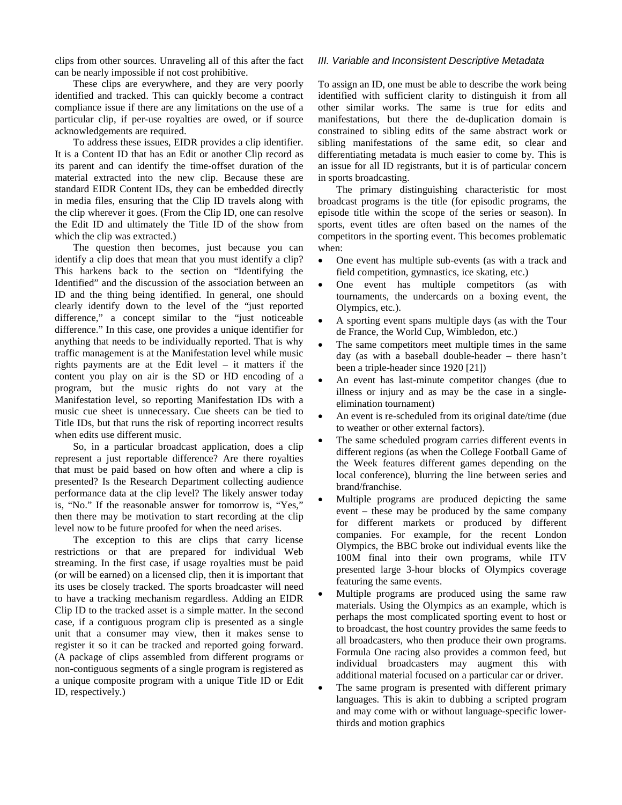clips from other sources. Unraveling all of this after the fact can be nearly impossible if not cost prohibitive.

These clips are everywhere, and they are very poorly identified and tracked. This can quickly become a contract compliance issue if there are any limitations on the use of a particular clip, if per-use royalties are owed, or if source acknowledgements are required.

To address these issues, EIDR provides a clip identifier. It is a Content ID that has an Edit or another Clip record as its parent and can identify the time-offset duration of the material extracted into the new clip. Because these are standard EIDR Content IDs, they can be embedded directly in media files, ensuring that the Clip ID travels along with the clip wherever it goes. (From the Clip ID, one can resolve the Edit ID and ultimately the Title ID of the show from which the clip was extracted.)

The question then becomes, just because you can identify a clip does that mean that you must identify a clip? This harkens back to the section on "Identifying the Identified" and the discussion of the association between an ID and the thing being identified. In general, one should clearly identify down to the level of the "just reported difference," a concept similar to the "just noticeable difference." In this case, one provides a unique identifier for anything that needs to be individually reported. That is why traffic management is at the Manifestation level while music rights payments are at the Edit level – it matters if the content you play on air is the SD or HD encoding of a program, but the music rights do not vary at the Manifestation level, so reporting Manifestation IDs with a music cue sheet is unnecessary. Cue sheets can be tied to Title IDs, but that runs the risk of reporting incorrect results when edits use different music.

So, in a particular broadcast application, does a clip represent a just reportable difference? Are there royalties that must be paid based on how often and where a clip is presented? Is the Research Department collecting audience performance data at the clip level? The likely answer today is, "No." If the reasonable answer for tomorrow is, "Yes," then there may be motivation to start recording at the clip level now to be future proofed for when the need arises.

The exception to this are clips that carry license restrictions or that are prepared for individual Web streaming. In the first case, if usage royalties must be paid (or will be earned) on a licensed clip, then it is important that its uses be closely tracked. The sports broadcaster will need to have a tracking mechanism regardless. Adding an EIDR Clip ID to the tracked asset is a simple matter. In the second case, if a contiguous program clip is presented as a single unit that a consumer may view, then it makes sense to register it so it can be tracked and reported going forward. (A package of clips assembled from different programs or non-contiguous segments of a single program is registered as a unique composite program with a unique Title ID or Edit ID, respectively.)

## *III. Variable and Inconsistent Descriptive Metadata*

To assign an ID, one must be able to describe the work being identified with sufficient clarity to distinguish it from all other similar works. The same is true for edits and manifestations, but there the de-duplication domain is constrained to sibling edits of the same abstract work or sibling manifestations of the same edit, so clear and differentiating metadata is much easier to come by. This is an issue for all ID registrants, but it is of particular concern in sports broadcasting.

The primary distinguishing characteristic for most broadcast programs is the title (for episodic programs, the episode title within the scope of the series or season). In sports, event titles are often based on the names of the competitors in the sporting event. This becomes problematic when:

- One event has multiple sub-events (as with a track and field competition, gymnastics, ice skating, etc.)
- One event has multiple competitors (as with tournaments, the undercards on a boxing event, the Olympics, etc.).
- A sporting event spans multiple days (as with the Tour de France, the World Cup, Wimbledon, etc.)
- The same competitors meet multiple times in the same day (as with a baseball double-header – there hasn't been a triple-header since 1920 [21])
- An event has last-minute competitor changes (due to illness or injury and as may be the case in a singleelimination tournament)
- An event is re-scheduled from its original date/time (due to weather or other external factors).
- The same scheduled program carries different events in different regions (as when the College Football Game of the Week features different games depending on the local conference), blurring the line between series and brand/franchise.
- Multiple programs are produced depicting the same event – these may be produced by the same company for different markets or produced by different companies. For example, for the recent London Olympics, the BBC broke out individual events like the 100M final into their own programs, while ITV presented large 3-hour blocks of Olympics coverage featuring the same events.
- Multiple programs are produced using the same raw materials. Using the Olympics as an example, which is perhaps the most complicated sporting event to host or to broadcast, the host country provides the same feeds to all broadcasters, who then produce their own programs. Formula One racing also provides a common feed, but individual broadcasters may augment this with additional material focused on a particular car or driver.
- The same program is presented with different primary languages. This is akin to dubbing a scripted program and may come with or without language-specific lowerthirds and motion graphics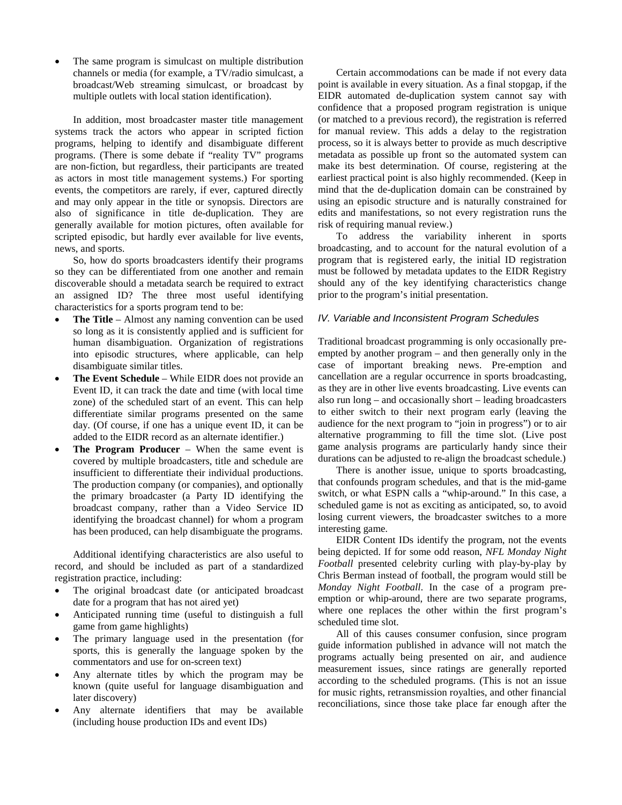The same program is simulcast on multiple distribution channels or media (for example, a TV/radio simulcast, a broadcast/Web streaming simulcast, or broadcast by multiple outlets with local station identification).

In addition, most broadcaster master title management systems track the actors who appear in scripted fiction programs, helping to identify and disambiguate different programs. (There is some debate if "reality TV" programs are non-fiction, but regardless, their participants are treated as actors in most title management systems.) For sporting events, the competitors are rarely, if ever, captured directly and may only appear in the title or synopsis. Directors are also of significance in title de-duplication. They are generally available for motion pictures, often available for scripted episodic, but hardly ever available for live events, news, and sports.

So, how do sports broadcasters identify their programs so they can be differentiated from one another and remain discoverable should a metadata search be required to extract an assigned ID? The three most useful identifying characteristics for a sports program tend to be:

- **The Title** Almost any naming convention can be used so long as it is consistently applied and is sufficient for human disambiguation. Organization of registrations into episodic structures, where applicable, can help disambiguate similar titles.
- **The Event Schedule** While EIDR does not provide an Event ID, it can track the date and time (with local time zone) of the scheduled start of an event. This can help differentiate similar programs presented on the same day. (Of course, if one has a unique event ID, it can be added to the EIDR record as an alternate identifier.)
- **The Program Producer** When the same event is covered by multiple broadcasters, title and schedule are insufficient to differentiate their individual productions. The production company (or companies), and optionally the primary broadcaster (a Party ID identifying the broadcast company, rather than a Video Service ID identifying the broadcast channel) for whom a program has been produced, can help disambiguate the programs.

Additional identifying characteristics are also useful to record, and should be included as part of a standardized registration practice, including:

- The original broadcast date (or anticipated broadcast date for a program that has not aired yet)
- Anticipated running time (useful to distinguish a full game from game highlights)
- The primary language used in the presentation (for sports, this is generally the language spoken by the commentators and use for on-screen text)
- Any alternate titles by which the program may be known (quite useful for language disambiguation and later discovery)
- Any alternate identifiers that may be available (including house production IDs and event IDs)

Certain accommodations can be made if not every data point is available in every situation. As a final stopgap, if the EIDR automated de-duplication system cannot say with confidence that a proposed program registration is unique (or matched to a previous record), the registration is referred for manual review. This adds a delay to the registration process, so it is always better to provide as much descriptive metadata as possible up front so the automated system can make its best determination. Of course, registering at the earliest practical point is also highly recommended. (Keep in mind that the de-duplication domain can be constrained by using an episodic structure and is naturally constrained for edits and manifestations, so not every registration runs the risk of requiring manual review.)

To address the variability inherent in sports broadcasting, and to account for the natural evolution of a program that is registered early, the initial ID registration must be followed by metadata updates to the EIDR Registry should any of the key identifying characteristics change prior to the program's initial presentation.

## *IV. Variable and Inconsistent Program Schedules*

Traditional broadcast programming is only occasionally preempted by another program – and then generally only in the case of important breaking news. Pre-emption and cancellation are a regular occurrence in sports broadcasting, as they are in other live events broadcasting. Live events can also run long – and occasionally short – leading broadcasters to either switch to their next program early (leaving the audience for the next program to "join in progress") or to air alternative programming to fill the time slot. (Live post game analysis programs are particularly handy since their durations can be adjusted to re-align the broadcast schedule.)

There is another issue, unique to sports broadcasting, that confounds program schedules, and that is the mid-game switch, or what ESPN calls a "whip-around." In this case, a scheduled game is not as exciting as anticipated, so, to avoid losing current viewers, the broadcaster switches to a more interesting game.

EIDR Content IDs identify the program, not the events being depicted. If for some odd reason, *NFL Monday Night Football* presented celebrity curling with play-by-play by Chris Berman instead of football, the program would still be *Monday Night Football*. In the case of a program preemption or whip-around, there are two separate programs, where one replaces the other within the first program's scheduled time slot.

All of this causes consumer confusion, since program guide information published in advance will not match the programs actually being presented on air, and audience measurement issues, since ratings are generally reported according to the scheduled programs. (This is not an issue for music rights, retransmission royalties, and other financial reconciliations, since those take place far enough after the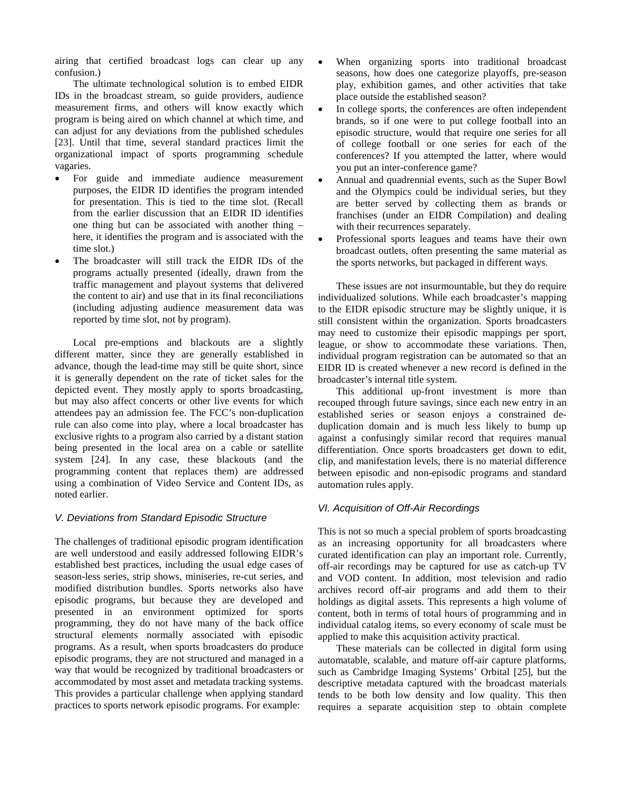airing that certified broadcast logs can clear up any confusion.)

The ultimate technological solution is to embed EIDR IDs in the broadcast stream, so guide providers, audience measurement firms, and others will know exactly which program is being aired on which channel at which time, and can adjust for any deviations from the published schedules [23]. Until that time, several standard practices limit the organizational impact of sports programming schedule vagaries.

- For guide and immediate audience measurement purposes, the EIDR ID identifies the program intended for presentation. This is tied to the time slot. (Recall from the earlier discussion that an EIDR ID identifies one thing but can be associated with another thing – here, it identifies the program and is associated with the time slot.)
- The broadcaster will still track the EIDR IDs of the programs actually presented (ideally, drawn from the traffic management and playout systems that delivered the content to air) and use that in its final reconciliations (including adjusting audience measurement data was reported by time slot, not by program).

Local pre-emptions and blackouts are a slightly different matter, since they are generally established in advance, though the lead-time may still be quite short, since it is generally dependent on the rate of ticket sales for the depicted event. They mostly apply to sports broadcasting, but may also affect concerts or other live events for which attendees pay an admission fee. The FCC's non-duplication rule can also come into play, where a local broadcaster has exclusive rights to a program also carried by a distant station being presented in the local area on a cable or satellite system [24]. In any case, these blackouts (and the programming content that replaces them) are addressed using a combination of Video Service and Content IDs, as noted earlier.

## *V. Deviations from Standard Episodic Structure*

The challenges of traditional episodic program identification are well understood and easily addressed following EIDR's established best practices, including the usual edge cases of season-less series, strip shows, miniseries, re-cut series, and modified distribution bundles. Sports networks also have episodic programs, but because they are developed and presented in an environment optimized for sports programming, they do not have many of the back office structural elements normally associated with episodic programs. As a result, when sports broadcasters do produce episodic programs, they are not structured and managed in a way that would be recognized by traditional broadcasters or accommodated by most asset and metadata tracking systems. This provides a particular challenge when applying standard practices to sports network episodic programs. For example:

- When organizing sports into traditional broadcast seasons, how does one categorize playoffs, pre-season play, exhibition games, and other activities that take place outside the established season?
- In college sports, the conferences are often independent brands, so if one were to put college football into an episodic structure, would that require one series for all of college football or one series for each of the conferences? If you attempted the latter, where would you put an inter-conference game?
- Annual and quadrennial events, such as the Super Bowl and the Olympics could be individual series, but they are better served by collecting them as brands or franchises (under an EIDR Compilation) and dealing with their recurrences separately.
- Professional sports leagues and teams have their own broadcast outlets, often presenting the same material as the sports networks, but packaged in different ways.

These issues are not insurmountable, but they do require individualized solutions. While each broadcaster's mapping to the EIDR episodic structure may be slightly unique, it is still consistent within the organization. Sports broadcasters may need to customize their episodic mappings per sport, league, or show to accommodate these variations. Then, individual program registration can be automated so that an EIDR ID is created whenever a new record is defined in the broadcaster's internal title system.

This additional up-front investment is more than recouped through future savings, since each new entry in an established series or season enjoys a constrained deduplication domain and is much less likely to bump up against a confusingly similar record that requires manual differentiation. Once sports broadcasters get down to edit, clip, and manifestation levels, there is no material difference between episodic and non-episodic programs and standard automation rules apply.

## *VI. Acquisition of Off-Air Recordings*

This is not so much a special problem of sports broadcasting as an increasing opportunity for all broadcasters where curated identification can play an important role. Currently, off-air recordings may be captured for use as catch-up TV and VOD content. In addition, most television and radio archives record off-air programs and add them to their holdings as digital assets. This represents a high volume of content, both in terms of total hours of programming and in individual catalog items, so every economy of scale must be applied to make this acquisition activity practical.

These materials can be collected in digital form using automatable, scalable, and mature off-air capture platforms, such as Cambridge Imaging Systems' Orbital [25], but the descriptive metadata captured with the broadcast materials tends to be both low density and low quality. This then requires a separate acquisition step to obtain complete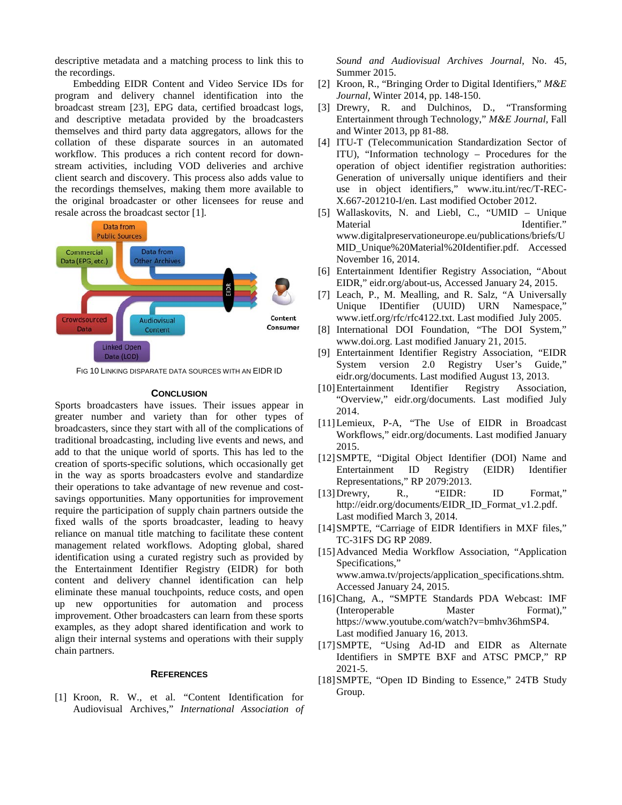descriptive metadata and a matching process to link this to the recordings.

Embedding EIDR Content and Video Service IDs for program and delivery channel identification into the broadcast stream [23], EPG data, certified broadcast logs, and descriptive metadata provided by the broadcasters themselves and third party data aggregators, allows for the collation of these disparate sources in an automated workflow. This produces a rich content record for downstream activities, including VOD deliveries and archive client search and discovery. This process also adds value to the recordings themselves, making them more available to the original broadcaster or other licensees for reuse and resale across the broadcast sector [1].



FIG 10 LINKING DISPARATE DATA SOURCES WITH AN EIDR ID

#### **CONCLUSION**

Sports broadcasters have issues. Their issues appear in greater number and variety than for other types of broadcasters, since they start with all of the complications of traditional broadcasting, including live events and news, and add to that the unique world of sports. This has led to the creation of sports-specific solutions, which occasionally get in the way as sports broadcasters evolve and standardize their operations to take advantage of new revenue and costsavings opportunities. Many opportunities for improvement require the participation of supply chain partners outside the fixed walls of the sports broadcaster, leading to heavy reliance on manual title matching to facilitate these content management related workflows. Adopting global, shared identification using a curated registry such as provided by the Entertainment Identifier Registry (EIDR) for both content and delivery channel identification can help eliminate these manual touchpoints, reduce costs, and open up new opportunities for automation and process improvement. Other broadcasters can learn from these sports examples, as they adopt shared identification and work to align their internal systems and operations with their supply chain partners.

#### **REFERENCES**

[1] Kroon, R. W., et al. "Content Identification for Audiovisual Archives," *International Association of*  *Sound and Audiovisual Archives Journal*, No. 45, Summer 2015.

- [2] Kroon, R., "Bringing Order to Digital Identifiers," *M&E Journal,* Winter 2014, pp. 148-150.
- [3] Drewry, R. and Dulchinos, D., "Transforming Entertainment through Technology," *M&E Journal,* Fall and Winter 2013, pp 81-88.
- [4] ITU-T (Telecommunication Standardization Sector of ITU), "Information technology – Procedures for the operation of object identifier registration authorities: Generation of universally unique identifiers and their use in object identifiers," www.itu.int/rec/T-REC-X.667-201210-I/en. Last modified October 2012.
- [5] Wallaskovits, N. and Liebl, C., "UMID Unique Material Identifier." www.digitalpreservationeurope.eu/publications/briefs/U MID\_Unique%20Material%20Identifier.pdf. Accessed November 16, 2014.
- [6] Entertainment Identifier Registry Association, "About EIDR," eidr.org/about-us, Accessed January 24, 2015.
- [7] Leach, P., M. Mealling, and R. Salz, "A Universally Unique IDentifier (UUID) URN Namespace,' www.ietf.org/rfc/rfc4122.txt. Last modified July 2005.
- [8] International DOI Foundation, "The DOI System," www.doi.org. Last modified January 21, 2015.
- [9] Entertainment Identifier Registry Association, "EIDR System version 2.0 Registry User's Guide," eidr.org/documents. Last modified August 13, 2013.
- [10]Entertainment Identifier Registry Association, "Overview," eidr.org/documents. Last modified July 2014.
- [11]Lemieux, P-A, "The Use of EIDR in Broadcast Workflows," eidr.org/documents. Last modified January 2015.
- [12]SMPTE, "Digital Object Identifier (DOI) Name and Entertainment ID Registry (EIDR) Identifier Representations," RP 2079:2013.
- [13]Drewry, R., "EIDR: ID Format," http://eidr.org/documents/EIDR\_ID\_Format\_v1.2.pdf. Last modified March 3, 2014.
- [14] SMPTE, "Carriage of EIDR Identifiers in MXF files," TC-31FS DG RP 2089.
- [15]Advanced Media Workflow Association, "Application Specifications," www.amwa.tv/projects/application\_specifications.shtm. Accessed January 24, 2015.
- [16]Chang, A., "SMPTE Standards PDA Webcast: IMF (Interoperable Master Format)," https://www.youtube.com/watch?v=bmhv36hmSP4. Last modified January 16, 2013.
- [17]SMPTE, "Using Ad-ID and EIDR as Alternate Identifiers in SMPTE BXF and ATSC PMCP," RP 2021-5.
- [18]SMPTE, "Open ID Binding to Essence," 24TB Study Group.